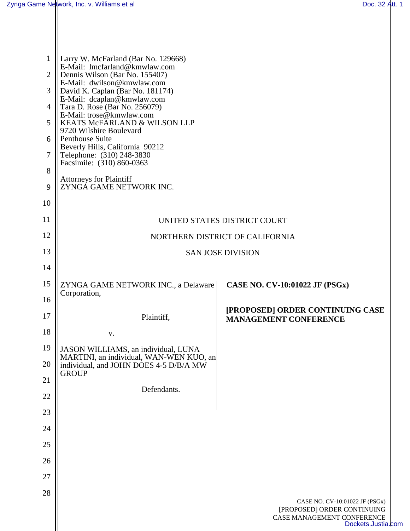Ш

| 1<br>$\overline{2}$<br>3<br>4<br>5<br>6<br>7<br>8 | Larry W. McFarland (Bar No. 129668)<br>E-Mail: lmcfarland@kmwlaw.com<br>Dennis Wilson (Bar No. 155407)<br>E-Mail: dwilson@kmwlaw.com<br>David K. Caplan (Bar No. 181174)<br>E-Mail: dcaplan@kmwlaw.com<br>Tara D. Rose (Bar No. 256079)<br>E-Mail: trose@kmwlaw.com<br>KEATS McFARLAND & WILSON LLP<br>9720 Wilshire Boulevard<br>Penthouse Suite<br>Beverly Hills, California 90212<br>Telephone: (310) 248-3830<br>Facsimile: (310) 860-0363 |                                                                                                                   |  |
|---------------------------------------------------|------------------------------------------------------------------------------------------------------------------------------------------------------------------------------------------------------------------------------------------------------------------------------------------------------------------------------------------------------------------------------------------------------------------------------------------------|-------------------------------------------------------------------------------------------------------------------|--|
| 9                                                 | <b>Attorneys for Plaintiff</b><br>ZYNGA GAME NETWORK INC.                                                                                                                                                                                                                                                                                                                                                                                      |                                                                                                                   |  |
| 10                                                |                                                                                                                                                                                                                                                                                                                                                                                                                                                |                                                                                                                   |  |
| 11                                                | UNITED STATES DISTRICT COURT                                                                                                                                                                                                                                                                                                                                                                                                                   |                                                                                                                   |  |
| 12                                                | NORTHERN DISTRICT OF CALIFORNIA                                                                                                                                                                                                                                                                                                                                                                                                                |                                                                                                                   |  |
| 13                                                | <b>SAN JOSE DIVISION</b>                                                                                                                                                                                                                                                                                                                                                                                                                       |                                                                                                                   |  |
| 14                                                |                                                                                                                                                                                                                                                                                                                                                                                                                                                |                                                                                                                   |  |
| 15                                                | ZYNGA GAME NETWORK INC., a Delaware<br>Corporation,                                                                                                                                                                                                                                                                                                                                                                                            | CASE NO. CV-10:01022 JF (PSGx)                                                                                    |  |
| 16                                                |                                                                                                                                                                                                                                                                                                                                                                                                                                                | [PROPOSED] ORDER CONTINUING CASE                                                                                  |  |
| 17                                                | Plaintiff,                                                                                                                                                                                                                                                                                                                                                                                                                                     | <b>MANAGEMENT CONFERENCE</b>                                                                                      |  |
| 18                                                | V.                                                                                                                                                                                                                                                                                                                                                                                                                                             |                                                                                                                   |  |
| 19                                                | JASON WILLIAMS, an individual, LUNA<br>MARTINI, an individual, WAN-WEN KUO, an                                                                                                                                                                                                                                                                                                                                                                 |                                                                                                                   |  |
| 20                                                | individual, and JOHN DOES 4-5 D/B/A MW<br><b>GROUP</b>                                                                                                                                                                                                                                                                                                                                                                                         |                                                                                                                   |  |
| 21<br>22                                          | Defendants.                                                                                                                                                                                                                                                                                                                                                                                                                                    |                                                                                                                   |  |
| 23                                                |                                                                                                                                                                                                                                                                                                                                                                                                                                                |                                                                                                                   |  |
| 24                                                |                                                                                                                                                                                                                                                                                                                                                                                                                                                |                                                                                                                   |  |
| 25                                                |                                                                                                                                                                                                                                                                                                                                                                                                                                                |                                                                                                                   |  |
| 26                                                |                                                                                                                                                                                                                                                                                                                                                                                                                                                |                                                                                                                   |  |
| 27                                                |                                                                                                                                                                                                                                                                                                                                                                                                                                                |                                                                                                                   |  |
| 28                                                |                                                                                                                                                                                                                                                                                                                                                                                                                                                |                                                                                                                   |  |
|                                                   |                                                                                                                                                                                                                                                                                                                                                                                                                                                | CASE NO. CV-10:01022 JF (PSGx)<br>[PROPOSED] ORDER CONTINUING<br>CASE MANAGEMENT CONFERENCE<br>Dockets.Justia.com |  |